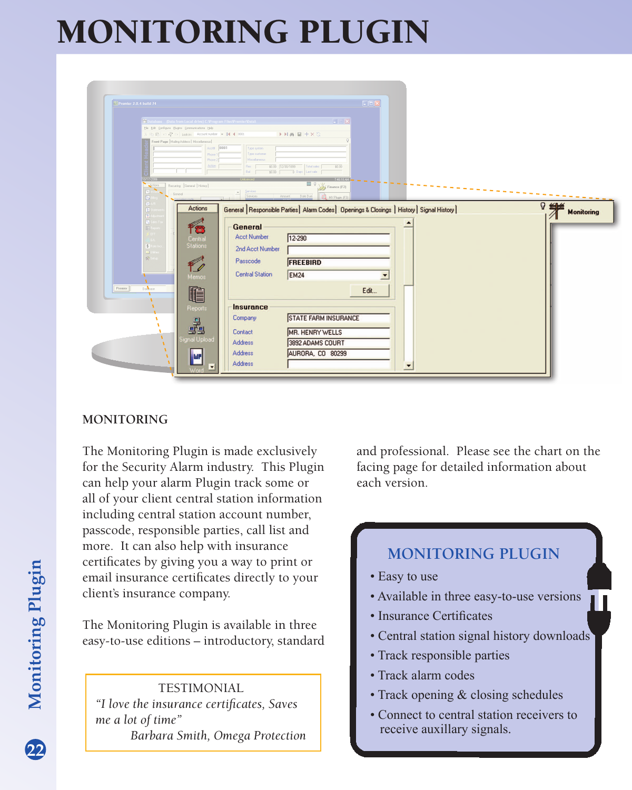## MONITORING PLUGIN

| Premier 2.0.4 build 74       |                                                                                                 |                        |                                                                                            | $\Box$ ex |  |   |                   |
|------------------------------|-------------------------------------------------------------------------------------------------|------------------------|--------------------------------------------------------------------------------------------|-----------|--|---|-------------------|
|                              | Database (Data from Local drive) C:\Program Files\Premier\Data\                                 |                        | $\Box$                                                                                     |           |  |   |                   |
|                              | Elle Edit Configure Bugins Communications Help                                                  |                        |                                                                                            |           |  |   |                   |
|                              | 8 Ph 眼 の骨 or Lookin: Account number →   4 4 0001<br>Front Page   Maling Address   Miscellaneous |                        | $\rightarrow$ HA $\boxplus$ + X S                                                          |           |  |   |                   |
|                              | Acct# 0001                                                                                      | Type system            |                                                                                            |           |  |   |                   |
|                              | Phone 1                                                                                         | Type customer          |                                                                                            |           |  |   |                   |
|                              | Phone 2<br>Action                                                                               | Miscellaneous<br>Res   | \$0.00 12/30/1899<br>Total sales<br>\$0.00                                                 |           |  |   |                   |
|                              |                                                                                                 | \$0.00<br><b>Ball</b>  | Days Last sale                                                                             |           |  |   |                   |
| 10/17/200                    |                                                                                                 |                        |                                                                                            |           |  |   |                   |
| $\triangle$ ctions<br>$\sim$ | Recurring General History                                                                       |                        | $\overline{\phantom{a}}$ $\overline{\phantom{a}}$ $\overline{\phantom{a}}$ Finance (F2)    |           |  |   |                   |
| α                            | General:                                                                                        | Services               | Date Due<br>Amount.<br><b>Q</b> MY Plugin (F3                                              |           |  |   |                   |
| $\mathbf{H}$                 | Actions                                                                                         |                        | General Responsible Parties   Alarm Codes   Openings & Closings   History   Signal History |           |  | 9 | 当                 |
| E)                           |                                                                                                 |                        |                                                                                            |           |  |   | <b>Monitoring</b> |
| (日)                          |                                                                                                 | General                |                                                                                            |           |  |   |                   |
|                              |                                                                                                 |                        |                                                                                            |           |  |   |                   |
|                              | 18                                                                                              |                        |                                                                                            |           |  |   |                   |
|                              | Central                                                                                         | <b>Acct Number</b>     | 12-290                                                                                     |           |  |   |                   |
| $\overline{\mathbf{x}}$<br>▭ | <b>Stations</b>                                                                                 | 2nd Acct Number        |                                                                                            |           |  |   |                   |
| 来                            |                                                                                                 | Passcode               |                                                                                            |           |  |   |                   |
|                              |                                                                                                 |                        | <b>FREEBIRD</b>                                                                            |           |  |   |                   |
|                              | F.O<br>Memos                                                                                    | <b>Central Station</b> | <b>EM24</b>                                                                                |           |  |   |                   |
| $\mathbf{u}$                 |                                                                                                 |                        |                                                                                            |           |  |   |                   |
| Database<br>Premier          |                                                                                                 |                        |                                                                                            | Edit      |  |   |                   |
|                              | le                                                                                              |                        |                                                                                            |           |  |   |                   |
|                              | Reports                                                                                         | <b>Insurance</b>       |                                                                                            |           |  |   |                   |
|                              |                                                                                                 | Company                | STATE FARM INSURANCE                                                                       |           |  |   |                   |
|                              |                                                                                                 |                        |                                                                                            |           |  |   |                   |
|                              | .å<br>anal Upload                                                                               | Contact                | MR. HENRY WELLS                                                                            |           |  |   |                   |
|                              |                                                                                                 | <b>Address</b>         | 3892 ADAMS COURT                                                                           |           |  |   |                   |
|                              | <b>LUP</b>                                                                                      | Address                | AURORA, CO 80299                                                                           |           |  |   |                   |

## **MONITORING**

The Monitoring Plugin is made exclusively for the Security Alarm industry. This Plugin can help your alarm Plugin track some or all of your client central station information including central station account number, passcode, responsible parties, call list and more. It can also help with insurance certificates by giving you a way to print or email insurance certificates directly to your client's insurance company.

The Monitoring Plugin is available in three easy-to-use editions – introductory, standard

**TESTIMONIAL** *"I love the insurance certificates, Saves me a lot of time" Barbara Smith, Omega Protection* and professional. Please see the chart on the facing page for detailed information about each version.

## **MONITORING PLUGIN**

- Easy to use
- Available in three easy-to-use versions

П

- Insurance Certificates
- Central station signal history downloads
- Track responsible parties
- Track alarm codes
- Track opening & closing schedules
- Connect to central station receivers to receive auxillary signals.

**22**